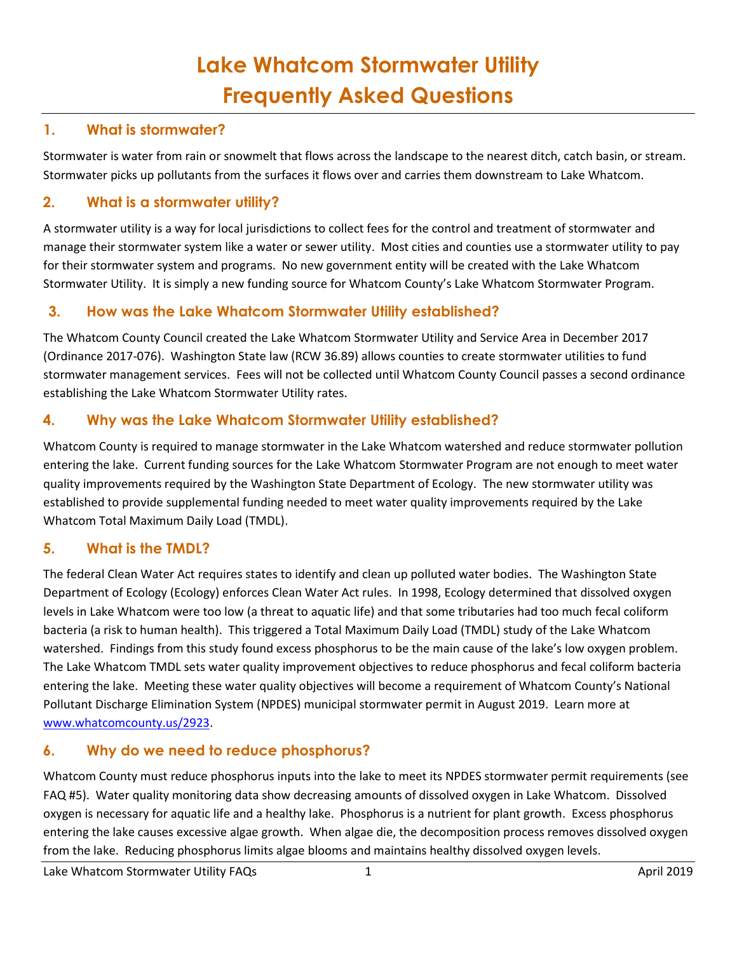# **Lake Whatcom Stormwater Utility Frequently Asked Questions**

#### **1. What is stormwater?**

Stormwater is water from rain or snowmelt that flows across the landscape to the nearest ditch, catch basin, or stream. Stormwater picks up pollutants from the surfaces it flows over and carries them downstream to Lake Whatcom.

#### **2. What is a stormwater utility?**

A stormwater utility is a way for local jurisdictions to collect fees for the control and treatment of stormwater and manage their stormwater system like a water or sewer utility. Most cities and counties use a stormwater utility to pay for their stormwater system and programs. No new government entity will be created with the Lake Whatcom Stormwater Utility. It is simply a new funding source for Whatcom County's Lake Whatcom Stormwater Program.

#### **3. How was the Lake Whatcom Stormwater Utility established?**

The Whatcom County Council created the Lake Whatcom Stormwater Utility and Service Area in December 2017 (Ordinance 2017-076). Washington State law (RCW 36.89) allows counties to create stormwater utilities to fund stormwater management services. Fees will not be collected until Whatcom County Council passes a second ordinance establishing the Lake Whatcom Stormwater Utility rates.

#### **4. Why was the Lake Whatcom Stormwater Utility established?**

Whatcom County is required to manage stormwater in the Lake Whatcom watershed and reduce stormwater pollution entering the lake. Current funding sources for the Lake Whatcom Stormwater Program are not enough to meet water quality improvements required by the Washington State Department of Ecology. The new stormwater utility was established to provide supplemental funding needed to meet water quality improvements required by the Lake Whatcom Total Maximum Daily Load (TMDL).

#### **5. What is the TMDL?**

The federal Clean Water Act requires states to identify and clean up polluted water bodies. The Washington State Department of Ecology (Ecology) enforces Clean Water Act rules. In 1998, Ecology determined that dissolved oxygen levels in Lake Whatcom were too low (a threat to aquatic life) and that some tributaries had too much fecal coliform bacteria (a risk to human health). This triggered a Total Maximum Daily Load (TMDL) study of the Lake Whatcom watershed. Findings from this study found excess phosphorus to be the main cause of the lake's low oxygen problem. The Lake Whatcom TMDL sets water quality improvement objectives to reduce phosphorus and fecal coliform bacteria entering the lake. Meeting these water quality objectives will become a requirement of Whatcom County's National Pollutant Discharge Elimination System (NPDES) municipal stormwater permit in August 2019. Learn more at [www.whatcomcounty.us/2923.](www.whatcomcounty.us/2923)

## **6. Why do we need to reduce phosphorus?**

Whatcom County must reduce phosphorus inputs into the lake to meet its NPDES stormwater permit requirements (see FAQ #5). Water quality monitoring data show decreasing amounts of dissolved oxygen in Lake Whatcom. Dissolved oxygen is necessary for aquatic life and a healthy lake. Phosphorus is a nutrient for plant growth. Excess phosphorus entering the lake causes excessive algae growth. When algae die, the decomposition process removes dissolved oxygen from the lake. Reducing phosphorus limits algae blooms and maintains healthy dissolved oxygen levels.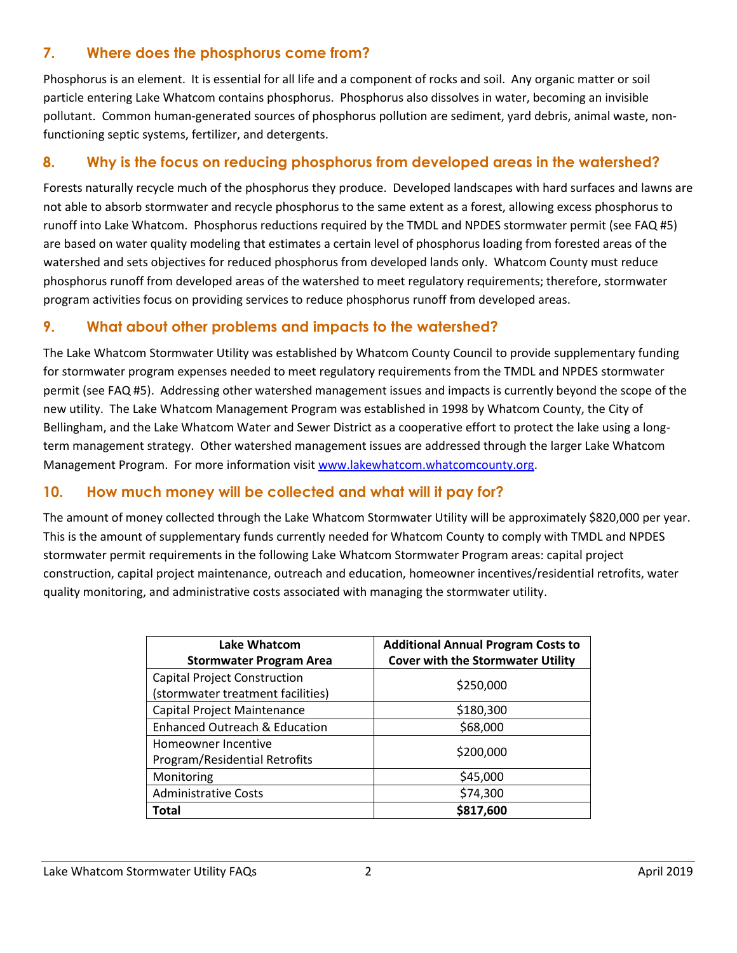## **7. Where does the phosphorus come from?**

Phosphorus is an element. It is essential for all life and a component of rocks and soil. Any organic matter or soil particle entering Lake Whatcom contains phosphorus. Phosphorus also dissolves in water, becoming an invisible pollutant. Common human-generated sources of phosphorus pollution are sediment, yard debris, animal waste, nonfunctioning septic systems, fertilizer, and detergents.

## **8. Why is the focus on reducing phosphorus from developed areas in the watershed?**

Forests naturally recycle much of the phosphorus they produce. Developed landscapes with hard surfaces and lawns are not able to absorb stormwater and recycle phosphorus to the same extent as a forest, allowing excess phosphorus to runoff into Lake Whatcom. Phosphorus reductions required by the TMDL and NPDES stormwater permit (see FAQ #5) are based on water quality modeling that estimates a certain level of phosphorus loading from forested areas of the watershed and sets objectives for reduced phosphorus from developed lands only. Whatcom County must reduce phosphorus runoff from developed areas of the watershed to meet regulatory requirements; therefore, stormwater program activities focus on providing services to reduce phosphorus runoff from developed areas.

#### **9. What about other problems and impacts to the watershed?**

The Lake Whatcom Stormwater Utility was established by Whatcom County Council to provide supplementary funding for stormwater program expenses needed to meet regulatory requirements from the TMDL and NPDES stormwater permit (see FAQ #5). Addressing other watershed management issues and impacts is currently beyond the scope of the new utility. The Lake Whatcom Management Program was established in 1998 by Whatcom County, the City of Bellingham, and the Lake Whatcom Water and Sewer District as a cooperative effort to protect the lake using a longterm management strategy. Other watershed management issues are addressed through the larger Lake Whatcom Management Program. For more information visit [www.lakewhatcom.whatcomcounty.org.](file:///C:/Users/gstoyka/AppData/Local/Microsoft/Windows/Temporary%20Internet%20Files/Content.Outlook/J7Y5E2JW/www.lakewhatcom.whatcomcounty.org)

#### **10. How much money will be collected and what will it pay for?**

The amount of money collected through the Lake Whatcom Stormwater Utility will be approximately \$820,000 per year. This is the amount of supplementary funds currently needed for Whatcom County to comply with TMDL and NPDES stormwater permit requirements in the following Lake Whatcom Stormwater Program areas: capital project construction, capital project maintenance, outreach and education, homeowner incentives/residential retrofits, water quality monitoring, and administrative costs associated with managing the stormwater utility.

| <b>Lake Whatcom</b><br><b>Stormwater Program Area</b>                    | <b>Additional Annual Program Costs to</b><br><b>Cover with the Stormwater Utility</b> |  |
|--------------------------------------------------------------------------|---------------------------------------------------------------------------------------|--|
| <b>Capital Project Construction</b><br>(stormwater treatment facilities) | \$250,000                                                                             |  |
| Capital Project Maintenance                                              | \$180,300                                                                             |  |
| Enhanced Outreach & Education                                            | \$68,000                                                                              |  |
| Homeowner Incentive<br>Program/Residential Retrofits                     | \$200,000                                                                             |  |
| Monitoring                                                               | \$45,000                                                                              |  |
| <b>Administrative Costs</b>                                              | \$74,300                                                                              |  |
| Total                                                                    | \$817,600                                                                             |  |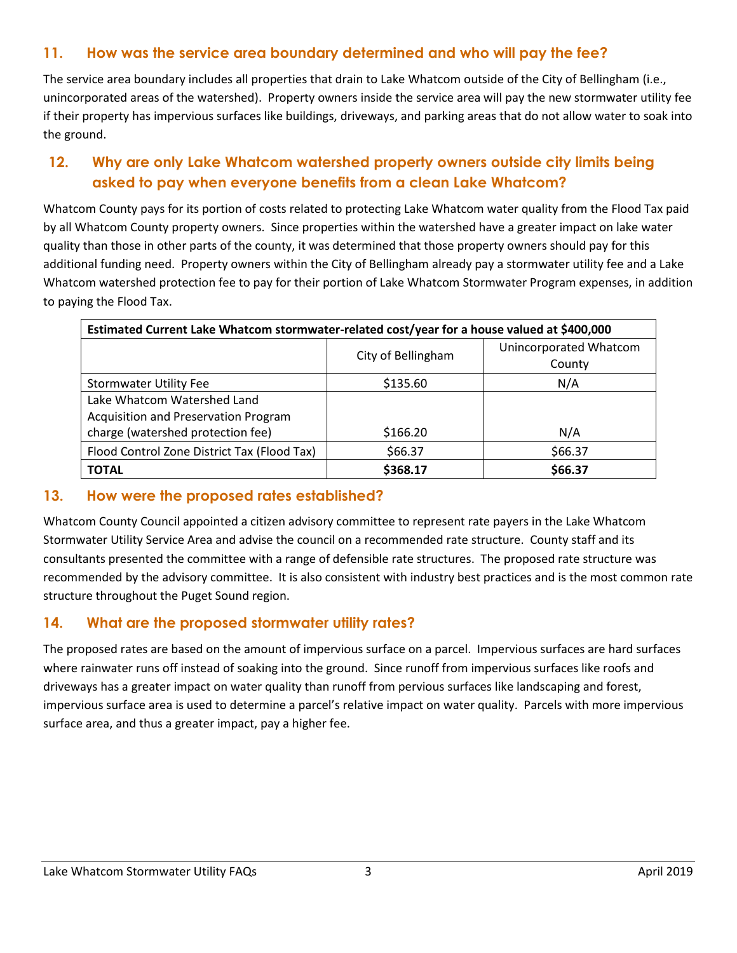## **11. How was the service area boundary determined and who will pay the fee?**

The service area boundary includes all properties that drain to Lake Whatcom outside of the City of Bellingham (i.e., unincorporated areas of the watershed). Property owners inside the service area will pay the new stormwater utility fee if their property has impervious surfaces like buildings, driveways, and parking areas that do not allow water to soak into the ground.

## **12. Why are only Lake Whatcom watershed property owners outside city limits being asked to pay when everyone benefits from a clean Lake Whatcom?**

Whatcom County pays for its portion of costs related to protecting Lake Whatcom water quality from the Flood Tax paid by all Whatcom County property owners. Since properties within the watershed have a greater impact on lake water quality than those in other parts of the county, it was determined that those property owners should pay for this additional funding need. Property owners within the City of Bellingham already pay a stormwater utility fee and a Lake Whatcom watershed protection fee to pay for their portion of Lake Whatcom Stormwater Program expenses, in addition to paying the Flood Tax.

| Estimated Current Lake Whatcom stormwater-related cost/year for a house valued at \$400,000 |                    |                        |
|---------------------------------------------------------------------------------------------|--------------------|------------------------|
|                                                                                             | City of Bellingham | Unincorporated Whatcom |
|                                                                                             |                    | County                 |
| <b>Stormwater Utility Fee</b>                                                               | \$135.60           | N/A                    |
| Lake Whatcom Watershed Land                                                                 |                    |                        |
| Acquisition and Preservation Program                                                        |                    |                        |
| charge (watershed protection fee)                                                           | \$166.20           | N/A                    |
| Flood Control Zone District Tax (Flood Tax)                                                 | \$66.37            | \$66.37                |
| <b>TOTAL</b>                                                                                | \$368.17           | \$66.37                |

#### **13. How were the proposed rates established?**

Whatcom County Council appointed a citizen advisory committee to represent rate payers in the Lake Whatcom Stormwater Utility Service Area and advise the council on a recommended rate structure. County staff and its consultants presented the committee with a range of defensible rate structures. The proposed rate structure was recommended by the advisory committee. It is also consistent with industry best practices and is the most common rate structure throughout the Puget Sound region.

## **14. What are the proposed stormwater utility rates?**

The proposed rates are based on the amount of impervious surface on a parcel. Impervious surfaces are hard surfaces where rainwater runs off instead of soaking into the ground. Since runoff from impervious surfaces like roofs and driveways has a greater impact on water quality than runoff from pervious surfaces like landscaping and forest, impervious surface area is used to determine a parcel's relative impact on water quality. Parcels with more impervious surface area, and thus a greater impact, pay a higher fee.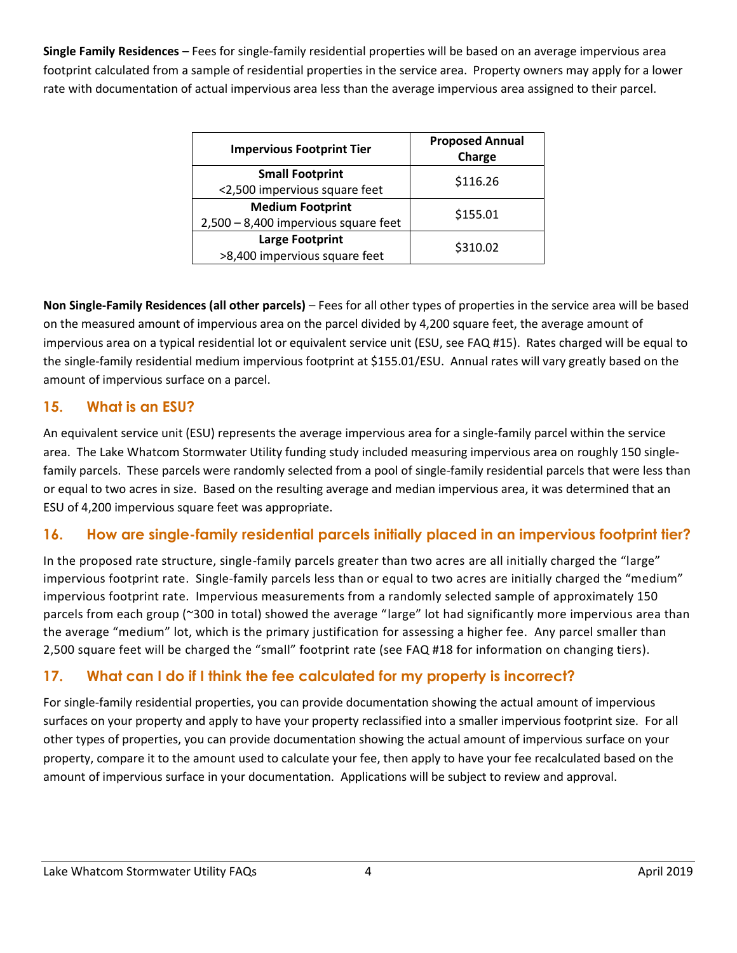**Single Family Residences –** Fees for single-family residential properties will be based on an average impervious area footprint calculated from a sample of residential properties in the service area. Property owners may apply for a lower rate with documentation of actual impervious area less than the average impervious area assigned to their parcel.

| <b>Proposed Annual</b><br>Charge |
|----------------------------------|
| \$116.26                         |
| \$155.01                         |
| \$310.02                         |
|                                  |

**Non Single-Family Residences (all other parcels)** – Fees for all other types of properties in the service area will be based on the measured amount of impervious area on the parcel divided by 4,200 square feet, the average amount of impervious area on a typical residential lot or equivalent service unit (ESU, see FAQ #15). Rates charged will be equal to the single-family residential medium impervious footprint at \$155.01/ESU. Annual rates will vary greatly based on the amount of impervious surface on a parcel.

## **15. What is an ESU?**

An equivalent service unit (ESU) represents the average impervious area for a single-family parcel within the service area. The Lake Whatcom Stormwater Utility funding study included measuring impervious area on roughly 150 singlefamily parcels. These parcels were randomly selected from a pool of single-family residential parcels that were less than or equal to two acres in size. Based on the resulting average and median impervious area, it was determined that an ESU of 4,200 impervious square feet was appropriate.

## **16. How are single-family residential parcels initially placed in an impervious footprint tier?**

In the proposed rate structure, single-family parcels greater than two acres are all initially charged the "large" impervious footprint rate. Single-family parcels less than or equal to two acres are initially charged the "medium" impervious footprint rate. Impervious measurements from a randomly selected sample of approximately 150 parcels from each group (~300 in total) showed the average "large" lot had significantly more impervious area than the average "medium" lot, which is the primary justification for assessing a higher fee. Any parcel smaller than 2,500 square feet will be charged the "small" footprint rate (see FAQ #18 for information on changing tiers).

## **17. What can I do if I think the fee calculated for my property is incorrect?**

For single-family residential properties, you can provide documentation showing the actual amount of impervious surfaces on your property and apply to have your property reclassified into a smaller impervious footprint size. For all other types of properties, you can provide documentation showing the actual amount of impervious surface on your property, compare it to the amount used to calculate your fee, then apply to have your fee recalculated based on the amount of impervious surface in your documentation. Applications will be subject to review and approval.